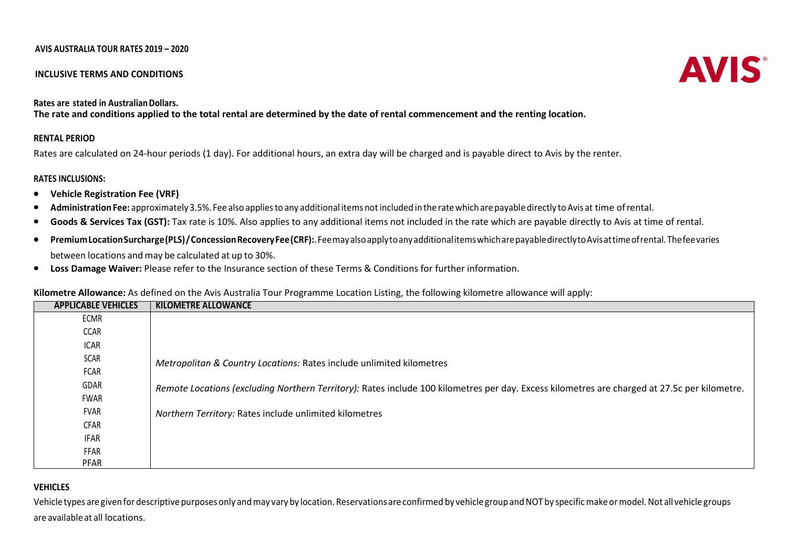### AVIS AUSTRALIA TOUR RATES 2019 – 2020

### INCLUSIVE TERMS AND CONDITIONS

### Rates are stated in Australian Dollars.

The rate and conditions applied to the total rental are determined by the date of rental commencement and the renting location.

### RENTAL PERIOD

Rates are calculated on 24-hour periods (1 day). For additional hours, an extra day will be charged and is payable direct to Avis by the renter.

## RATES INCLUSIONS:

- $\bullet$ Vehicle Registration Fee (VRF)
- •Administration Fee: approximately 3.5%. Fee also applies to any additional items not included in the rate which are payable directly to Avis at time of rental.
- •Goods & Services Tax (GST): Tax rate is 10%. Also applies to any additional items not included in the rate which are payable directly to Avis at time of rental.
- •Premium Location Surcharge (PLS) / Concession Recovery Fee (CRF):. Fee may also apply to any additional items which are payable directly to Avis at time of rental. The fee varies between locations and may be calculated at up to 30%.
- •Loss Damage Waiver: Please refer to the Insurance section of these Terms & Conditions for further information.

### Kilometre Allowance: As defined on the Avis Australia Tour Programme Location Listing, the following kilometre allowance will apply:

| <b>APPLICABLE VEHICLES</b> | <b>KILOMETRE ALLOWANCE</b>                                                                                                                   |
|----------------------------|----------------------------------------------------------------------------------------------------------------------------------------------|
| ECMR                       |                                                                                                                                              |
| CCAR                       |                                                                                                                                              |
| <b>ICAR</b>                |                                                                                                                                              |
| SCAR                       | Metropolitan & Country Locations: Rates include unlimited kilometres                                                                         |
| FCAR                       |                                                                                                                                              |
| GDAR                       | Remote Locations (excluding Northern Territory): Rates include 100 kilometres per day. Excess kilometres are charged at 27.5c per kilometre. |
| FWAR                       |                                                                                                                                              |
| FVAR                       | Northern Territory: Rates include unlimited kilometres                                                                                       |
| CFAR                       |                                                                                                                                              |
| IFAR                       |                                                                                                                                              |
| FFAR                       |                                                                                                                                              |
| PFAR                       |                                                                                                                                              |

### VEHICLES

 Vehicle types are given for descriptive purposes only and may vary by location. Reservations are confirmed by vehicle group and NOT by specific make or model. Not all vehicle groups are available at all locations.

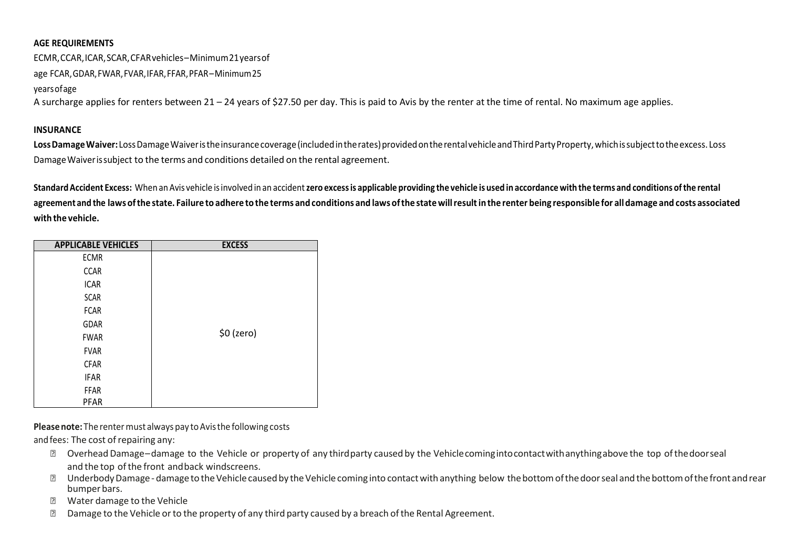# AGE REQUIREMENTS

ECMR, CCAR, ICAR, SCAR, CFAR vehicles – Minimum 21 years of

age FCAR, GDAR, FWAR, FVAR, IFAR, FFAR, PFAR – Minimum 25

years of age

A surcharge applies for renters between 21 – 24 years of \$27.50 per day. This is paid to Avis by the renter at the time of rental. No maximum age applies.

### **INSURANCE**

Loss Damage Waiver: Loss Damage Waiver is the insurance coverage (included in the rates) provided on the rental vehicle and Third Party Property, which is subject to the excess. Loss Damage Waiver is subject to the terms and conditions detailed on the rental agreement.

Standard Accident Excess: When an Avis vehicle is involved in an accident zero excess is applicable providing the vehicle is used in accordance with the terms and conditions of the rental agreement and the laws of the state. Failure to adhere to the terms and conditions and laws of the state will result in the renter being responsible for all damage and costs associated with the vehicle.

| <b>APPLICABLE VEHICLES</b> | <b>EXCESS</b> |
|----------------------------|---------------|
| <b>ECMR</b>                |               |
| <b>CCAR</b>                |               |
| <b>ICAR</b>                |               |
| <b>SCAR</b>                |               |
| <b>FCAR</b>                | \$0 (zero)    |
| GDAR                       |               |
| <b>FWAR</b>                |               |
| <b>FVAR</b>                |               |
| <b>CFAR</b>                |               |
| <b>IFAR</b>                |               |
| <b>FFAR</b>                |               |
| PFAR                       |               |

Please note: The renter must always pay to Avis the following costs

and fees: The cost of repairing any:

- Overhead Damage damage to the Vehicle or property of any third party caused by the Vehicle coming into contact with anything above the top of the door seal and the top of the front and back windscreens.
- a Underbody Damage damage to the Vehicle caused by the Vehicle coming into contact with anything below the bottom of the door seal and the bottom of the front and rear bumper bars.
- Water damage to the Vehicle ?
- 2 Damage to the Vehicle or to the property of any third party caused by a breach of the Rental Agreement.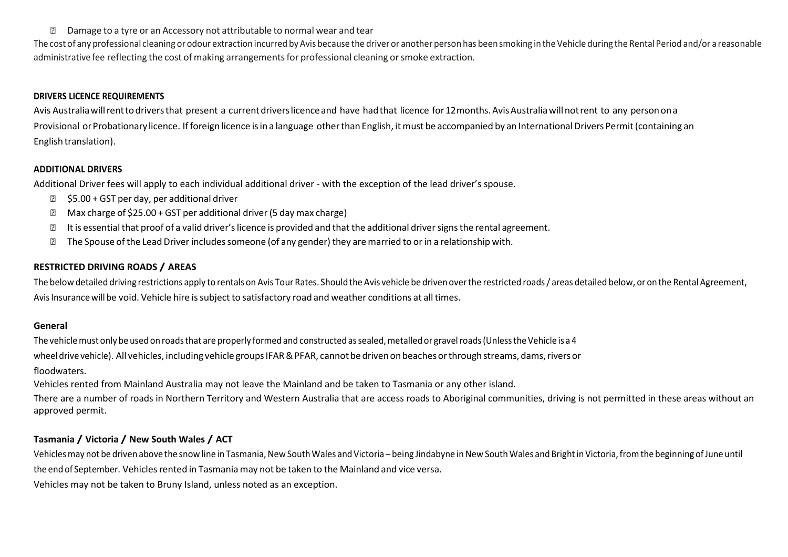$\boxtimes$  Damage to a tyre or an Accessory not attributable to normal wear and tear

The cost of any professional cleaning or odour extraction incurred by Avis because the driver or another person has been smoking in the Vehicle during the Rental Period and/or a reasonable administrative fee reflecting the cost of making arrangements for professional cleaning or smoke extraction.

# DRIVERS LICENCE REQUIREMENTS

Avis Australia will rent to drivers that present a current drivers licence and have had that licence for 12 months. Avis Australia will not rent to any person on a Provisional or Probationary licence. If foreign licence is in a language other than English, it must be accompanied by an International Drivers Permit (containing an English translation).

# ADDITIONAL DRIVERS

Additional Driver fees will apply to each individual additional driver - with the exception of the lead driver's spouse.

- \$5.00 + GST per day, per additional driver
- 2 Max charge of \$25.00 + GST per additional driver (5 day max charge)
- $\overline{2}$ It is essential that proof of a valid driver's licence is provided and that the additional driver signs the rental agreement.
- $\boxtimes$  The Spouse of the Lead Driver includes someone (of any gender) they are married to or in a relationship with.

# RESTRICTED DRIVING ROADS / AREAS

The below detailed driving restrictions apply to rentals on Avis Tour Rates. Should the Avis vehicle be driven over the restricted roads / areas detailed below, or on the Rental Agreement, Avis Insurance will be void. Vehicle hire is subject to satisfactory road and weather conditions at all times.

# General

The vehicle must only be used on roads that are properly formed and constructed as sealed, metalled or gravel roads (Unless the Vehicle is a 4 wheel drive vehicle). All vehicles, including vehicle groups IFAR & PFAR, cannot be driven on beaches or through streams, dams, rivers or floodwaters.

Vehicles rented from Mainland Australia may not leave the Mainland and be taken to Tasmania or any other island.

There are a number of roads in Northern Territory and Western Australia that are access roads to Aboriginal communities, driving is not permitted in these areas without an approved permit.

# Tasmania / Victoria / New South Wales / ACT

Vehicles may not be driven above the snow line in Tasmania, New South Wales and Victoria – being Jindabyne in New South Wales and Bright in Victoria, from the beginning of June until the end of September. Vehicles rented in Tasmania may not be taken to the Mainland and vice versa.

Vehicles may not be taken to Bruny Island, unless noted as an exception.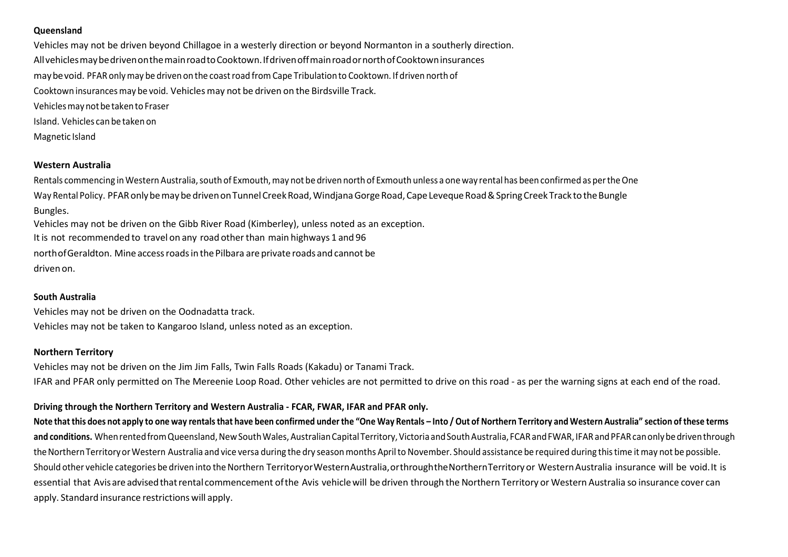## Queensland

 Vehicles may not be driven beyond Chillagoe in a westerly direction or beyond Normanton in a southerly direction. All vehicles may be driven on the main road to Cooktown. If driven off main road or north of Cooktown insurances may be void. PFAR only may be driven on the coast road from Cape Tribulation to Cooktown. If driven north of Cooktown insurances may be void. Vehicles may not be driven on the Birdsville Track. Vehicles may not be taken to Fraser Island. Vehicles can be taken on Magnetic Island

### Western Australia

Rentals commencing in Western Australia, south of Exmouth, may not be driven north of Exmouth unless a one way rental has been confirmed as per the One Way Rental Policy. PFAR only be may be driven on Tunnel Creek Road, Windjana Gorge Road, Cape Leveque Road & Spring Creek Track to the Bungle Bungles.

Vehicles may not be driven on the Gibb River Road (Kimberley), unless noted as an exception. It is not recommended to travel on any road other than main highways 1 and 96 north of Geraldton. Mine access roads in the Pilbara are private roads and cannot be driven on.

### South Australia

Vehicles may not be driven on the Oodnadatta track. Vehicles may not be taken to Kangaroo Island, unless noted as an exception.

## Northern Territory

Vehicles may not be driven on the Jim Jim Falls, Twin Falls Roads (Kakadu) or Tanami Track. IFAR and PFAR only permitted on The Mereenie Loop Road. Other vehicles are not permitted to drive on this road - as per the warning signs at each end of the road.

## Driving through the Northern Territory and Western Australia - FCAR, FWAR, IFAR and PFAR only.

Note that this does not apply to one way rentals that have been confirmed under the "One Way Rentals – Into / Out of Northern Territory and Western Australia" section of these terms and conditions. When rented from Queensland, New South Wales, Australian Capital Territory, Victoria and South Australia, FCAR and FWAR, IFAR and PFAR can only be driven through the Northern Territory or Western Australia and vice versa during the dry season months April to November. Should assistance be required during this time it may not be possible. Should other vehicle categories be driven into the Northern Territory or Western Australia, or through the Northern Territory or Western Australia insurance will be void. It is essential that Avis are advised that rental commencement of the Avis vehicle will be driven through the Northern Territory or Western Australia so insurance cover can apply. Standard insurance restrictions will apply.